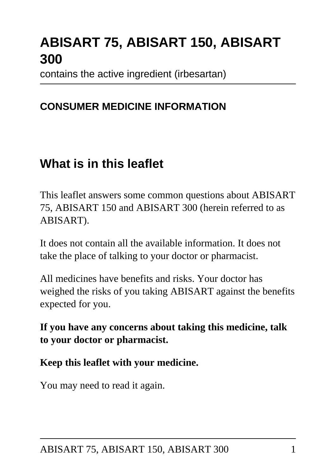# **ABISART 75, ABISART 150, ABISART 300**

contains the active ingredient (irbesartan)

### **CONSUMER MEDICINE INFORMATION**

## **What is in this leaflet**

This leaflet answers some common questions about ABISART 75, ABISART 150 and ABISART 300 (herein referred to as ABISART).

It does not contain all the available information. It does not take the place of talking to your doctor or pharmacist.

All medicines have benefits and risks. Your doctor has weighed the risks of you taking ABISART against the benefits expected for you.

**If you have any concerns about taking this medicine, talk to your doctor or pharmacist.**

#### **Keep this leaflet with your medicine.**

You may need to read it again.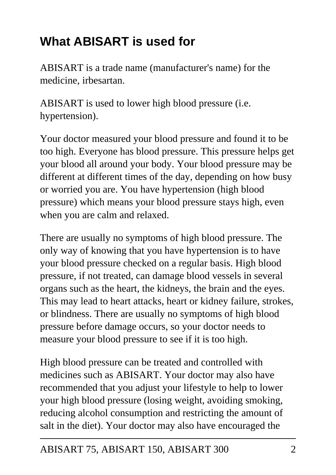# **What ABISART is used for**

ABISART is a trade name (manufacturer's name) for the medicine, irbesartan.

ABISART is used to lower high blood pressure (i.e. hypertension).

Your doctor measured your blood pressure and found it to be too high. Everyone has blood pressure. This pressure helps get your blood all around your body. Your blood pressure may be different at different times of the day, depending on how busy or worried you are. You have hypertension (high blood pressure) which means your blood pressure stays high, even when you are calm and relaxed.

There are usually no symptoms of high blood pressure. The only way of knowing that you have hypertension is to have your blood pressure checked on a regular basis. High blood pressure, if not treated, can damage blood vessels in several organs such as the heart, the kidneys, the brain and the eyes. This may lead to heart attacks, heart or kidney failure, strokes, or blindness. There are usually no symptoms of high blood pressure before damage occurs, so your doctor needs to measure your blood pressure to see if it is too high.

High blood pressure can be treated and controlled with medicines such as ABISART. Your doctor may also have recommended that you adjust your lifestyle to help to lower your high blood pressure (losing weight, avoiding smoking, reducing alcohol consumption and restricting the amount of salt in the diet). Your doctor may also have encouraged the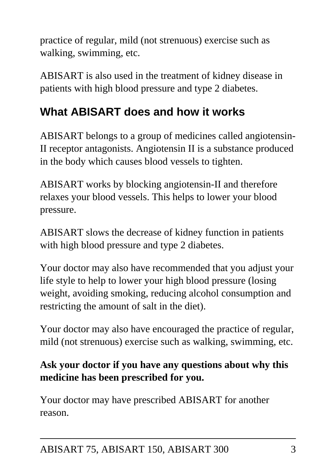practice of regular, mild (not strenuous) exercise such as walking, swimming, etc.

ABISART is also used in the treatment of kidney disease in patients with high blood pressure and type 2 diabetes.

## **What ABISART does and how it works**

ABISART belongs to a group of medicines called angiotensin-II receptor antagonists. Angiotensin II is a substance produced in the body which causes blood vessels to tighten.

ABISART works by blocking angiotensin-II and therefore relaxes your blood vessels. This helps to lower your blood pressure.

ABISART slows the decrease of kidney function in patients with high blood pressure and type 2 diabetes.

Your doctor may also have recommended that you adjust your life style to help to lower your high blood pressure (losing weight, avoiding smoking, reducing alcohol consumption and restricting the amount of salt in the diet).

Your doctor may also have encouraged the practice of regular, mild (not strenuous) exercise such as walking, swimming, etc.

### **Ask your doctor if you have any questions about why this medicine has been prescribed for you.**

Your doctor may have prescribed ABISART for another reason.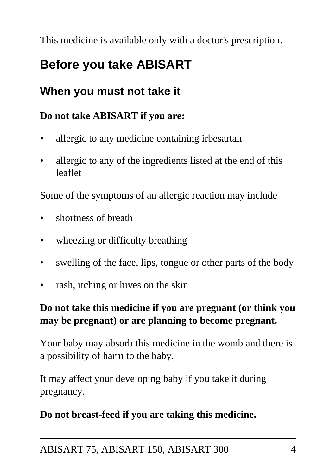This medicine is available only with a doctor's prescription.

## **Before you take ABISART**

### **When you must not take it**

### **Do not take ABISART if you are:**

- allergic to any medicine containing irbesartan
- allergic to any of the ingredients listed at the end of this leaflet

Some of the symptoms of an allergic reaction may include

- shortness of breath
- wheezing or difficulty breathing
- swelling of the face, lips, tongue or other parts of the body
- rash, itching or hives on the skin

### **Do not take this medicine if you are pregnant (or think you may be pregnant) or are planning to become pregnant.**

Your baby may absorb this medicine in the womb and there is a possibility of harm to the baby.

It may affect your developing baby if you take it during pregnancy.

### **Do not breast-feed if you are taking this medicine.**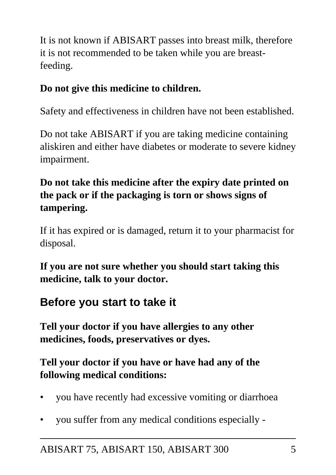It is not known if ABISART passes into breast milk, therefore it is not recommended to be taken while you are breastfeeding.

### **Do not give this medicine to children.**

Safety and effectiveness in children have not been established.

Do not take ABISART if you are taking medicine containing aliskiren and either have diabetes or moderate to severe kidney impairment.

### **Do not take this medicine after the expiry date printed on the pack or if the packaging is torn or shows signs of tampering.**

If it has expired or is damaged, return it to your pharmacist for disposal.

**If you are not sure whether you should start taking this medicine, talk to your doctor.**

### **Before you start to take it**

**Tell your doctor if you have allergies to any other medicines, foods, preservatives or dyes.**

### **Tell your doctor if you have or have had any of the following medical conditions:**

- you have recently had excessive vomiting or diarrhoea
- you suffer from any medical conditions especially -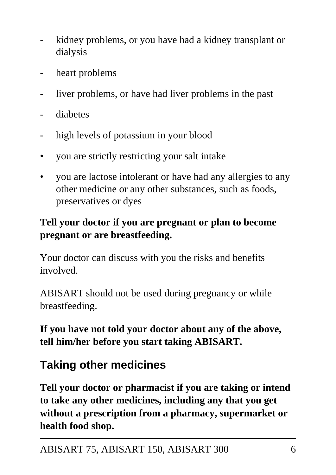- kidney problems, or you have had a kidney transplant or dialysis
- heart problems
- liver problems, or have had liver problems in the past
- diabetes
- high levels of potassium in your blood
- you are strictly restricting your salt intake
- you are lactose intolerant or have had any allergies to any other medicine or any other substances, such as foods, preservatives or dyes

### **Tell your doctor if you are pregnant or plan to become pregnant or are breastfeeding.**

Your doctor can discuss with you the risks and benefits involved.

ABISART should not be used during pregnancy or while breastfeeding.

**If you have not told your doctor about any of the above, tell him/her before you start taking ABISART.**

## **Taking other medicines**

**Tell your doctor or pharmacist if you are taking or intend to take any other medicines, including any that you get without a prescription from a pharmacy, supermarket or health food shop.**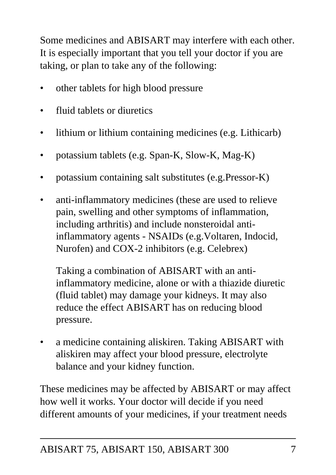Some medicines and ABISART may interfere with each other. It is especially important that you tell your doctor if you are taking, or plan to take any of the following:

- other tablets for high blood pressure
- fluid tablets or diuretics
- lithium or lithium containing medicines (e.g. Lithicarb)
- potassium tablets (e.g. Span-K, Slow-K, Mag-K)
- potassium containing salt substitutes (e.g.Pressor-K)
- anti-inflammatory medicines (these are used to relieve pain, swelling and other symptoms of inflammation, including arthritis) and include nonsteroidal antiinflammatory agents - NSAIDs (e.g.Voltaren, Indocid, Nurofen) and COX-2 inhibitors (e.g. Celebrex)

 Taking a combination of ABISART with an antiinflammatory medicine, alone or with a thiazide diuretic (fluid tablet) may damage your kidneys. It may also reduce the effect ABISART has on reducing blood pressure.

• a medicine containing aliskiren. Taking ABISART with aliskiren may affect your blood pressure, electrolyte balance and your kidney function.

These medicines may be affected by ABISART or may affect how well it works. Your doctor will decide if you need different amounts of your medicines, if your treatment needs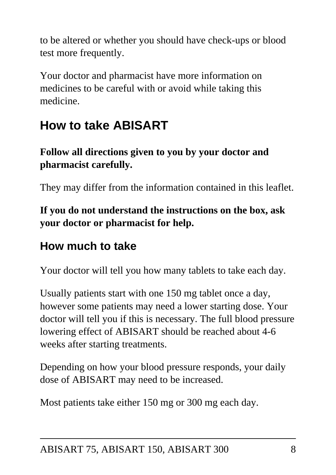to be altered or whether you should have check-ups or blood test more frequently.

Your doctor and pharmacist have more information on medicines to be careful with or avoid while taking this medicine.

# **How to take ABISART**

### **Follow all directions given to you by your doctor and pharmacist carefully.**

They may differ from the information contained in this leaflet.

### **If you do not understand the instructions on the box, ask your doctor or pharmacist for help.**

### **How much to take**

Your doctor will tell you how many tablets to take each day.

Usually patients start with one 150 mg tablet once a day, however some patients may need a lower starting dose. Your doctor will tell you if this is necessary. The full blood pressure lowering effect of ABISART should be reached about 4-6 weeks after starting treatments.

Depending on how your blood pressure responds, your daily dose of ABISART may need to be increased.

Most patients take either 150 mg or 300 mg each day.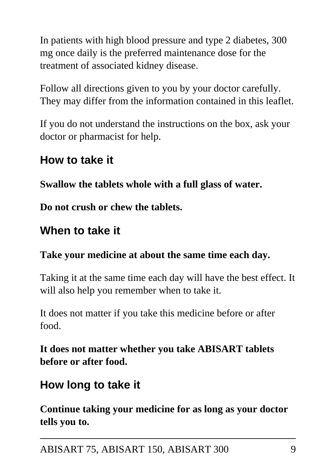In patients with high blood pressure and type 2 diabetes, 300 mg once daily is the preferred maintenance dose for the treatment of associated kidney disease.

Follow all directions given to you by your doctor carefully. They may differ from the information contained in this leaflet.

If you do not understand the instructions on the box, ask your doctor or pharmacist for help.

### **How to take it**

**Swallow the tablets whole with a full glass of water.**

**Do not crush or chew the tablets.**

### **When to take it**

#### **Take your medicine at about the same time each day.**

Taking it at the same time each day will have the best effect. It will also help you remember when to take it.

It does not matter if you take this medicine before or after food.

**It does not matter whether you take ABISART tablets before or after food.**

### **How long to take it**

**Continue taking your medicine for as long as your doctor tells you to.**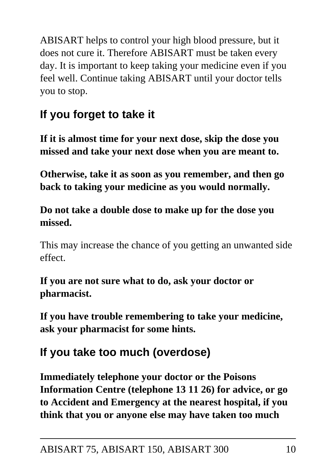ABISART helps to control your high blood pressure, but it does not cure it. Therefore ABISART must be taken every day. It is important to keep taking your medicine even if you feel well. Continue taking ABISART until your doctor tells you to stop.

## **If you forget to take it**

**If it is almost time for your next dose, skip the dose you missed and take your next dose when you are meant to.**

**Otherwise, take it as soon as you remember, and then go back to taking your medicine as you would normally.**

### **Do not take a double dose to make up for the dose you missed.**

This may increase the chance of you getting an unwanted side effect.

**If you are not sure what to do, ask your doctor or pharmacist.**

**If you have trouble remembering to take your medicine, ask your pharmacist for some hints.**

## **If you take too much (overdose)**

**Immediately telephone your doctor or the Poisons Information Centre (telephone 13 11 26) for advice, or go to Accident and Emergency at the nearest hospital, if you think that you or anyone else may have taken too much**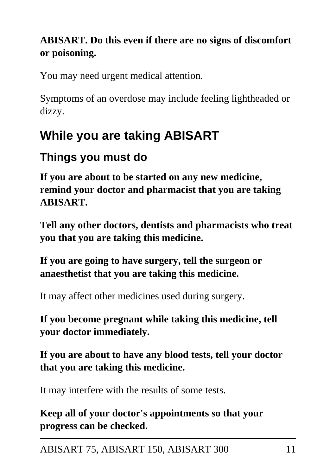### **ABISART. Do this even if there are no signs of discomfort or poisoning.**

You may need urgent medical attention.

Symptoms of an overdose may include feeling lightheaded or dizzy.

# **While you are taking ABISART**

## **Things you must do**

**If you are about to be started on any new medicine, remind your doctor and pharmacist that you are taking ABISART.**

**Tell any other doctors, dentists and pharmacists who treat you that you are taking this medicine.**

**If you are going to have surgery, tell the surgeon or anaesthetist that you are taking this medicine.**

It may affect other medicines used during surgery.

**If you become pregnant while taking this medicine, tell your doctor immediately.**

**If you are about to have any blood tests, tell your doctor that you are taking this medicine.**

It may interfere with the results of some tests.

**Keep all of your doctor's appointments so that your progress can be checked.**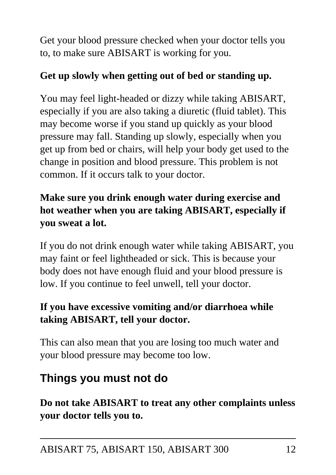Get your blood pressure checked when your doctor tells you to, to make sure ABISART is working for you.

### **Get up slowly when getting out of bed or standing up.**

You may feel light-headed or dizzy while taking ABISART, especially if you are also taking a diuretic (fluid tablet). This may become worse if you stand up quickly as your blood pressure may fall. Standing up slowly, especially when you get up from bed or chairs, will help your body get used to the change in position and blood pressure. This problem is not common. If it occurs talk to your doctor.

### **Make sure you drink enough water during exercise and hot weather when you are taking ABISART, especially if you sweat a lot.**

If you do not drink enough water while taking ABISART, you may faint or feel lightheaded or sick. This is because your body does not have enough fluid and your blood pressure is low. If you continue to feel unwell, tell your doctor.

### **If you have excessive vomiting and/or diarrhoea while taking ABISART, tell your doctor.**

This can also mean that you are losing too much water and your blood pressure may become too low.

## **Things you must not do**

**Do not take ABISART to treat any other complaints unless your doctor tells you to.**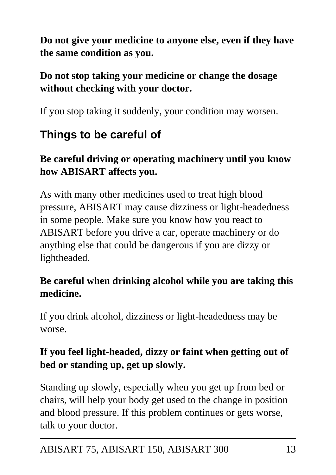**Do not give your medicine to anyone else, even if they have the same condition as you.**

### **Do not stop taking your medicine or change the dosage without checking with your doctor.**

If you stop taking it suddenly, your condition may worsen.

## **Things to be careful of**

### **Be careful driving or operating machinery until you know how ABISART affects you.**

As with many other medicines used to treat high blood pressure, ABISART may cause dizziness or light-headedness in some people. Make sure you know how you react to ABISART before you drive a car, operate machinery or do anything else that could be dangerous if you are dizzy or lightheaded.

### **Be careful when drinking alcohol while you are taking this medicine.**

If you drink alcohol, dizziness or light-headedness may be worse.

### **If you feel light-headed, dizzy or faint when getting out of bed or standing up, get up slowly.**

Standing up slowly, especially when you get up from bed or chairs, will help your body get used to the change in position and blood pressure. If this problem continues or gets worse, talk to your doctor.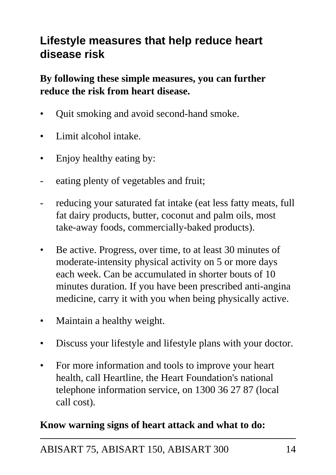### **Lifestyle measures that help reduce heart disease risk**

**By following these simple measures, you can further reduce the risk from heart disease.**

- Quit smoking and avoid second-hand smoke.
- Limit alcohol intake.
- Enjoy healthy eating by:
- eating plenty of vegetables and fruit;
- reducing your saturated fat intake (eat less fatty meats, full fat dairy products, butter, coconut and palm oils, most take-away foods, commercially-baked products).
- Be active. Progress, over time, to at least 30 minutes of moderate-intensity physical activity on 5 or more days each week. Can be accumulated in shorter bouts of 10 minutes duration. If you have been prescribed anti-angina medicine, carry it with you when being physically active.
- Maintain a healthy weight.
- Discuss your lifestyle and lifestyle plans with your doctor.
- For more information and tools to improve your heart health, call Heartline, the Heart Foundation's national telephone information service, on 1300 36 27 87 (local call cost).

#### **Know warning signs of heart attack and what to do:**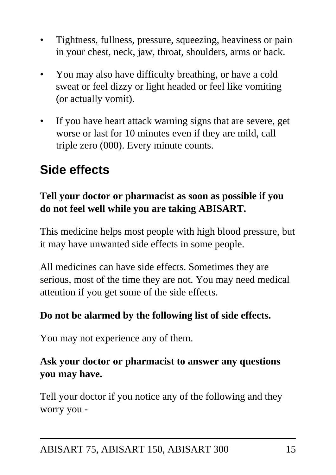- Tightness, fullness, pressure, squeezing, heaviness or pain in your chest, neck, jaw, throat, shoulders, arms or back.
- You may also have difficulty breathing, or have a cold sweat or feel dizzy or light headed or feel like vomiting (or actually vomit).
- If you have heart attack warning signs that are severe, get worse or last for 10 minutes even if they are mild, call triple zero (000). Every minute counts.

## **Side effects**

### **Tell your doctor or pharmacist as soon as possible if you do not feel well while you are taking ABISART.**

This medicine helps most people with high blood pressure, but it may have unwanted side effects in some people.

All medicines can have side effects. Sometimes they are serious, most of the time they are not. You may need medical attention if you get some of the side effects.

#### **Do not be alarmed by the following list of side effects.**

You may not experience any of them.

### **Ask your doctor or pharmacist to answer any questions you may have.**

Tell your doctor if you notice any of the following and they worry you -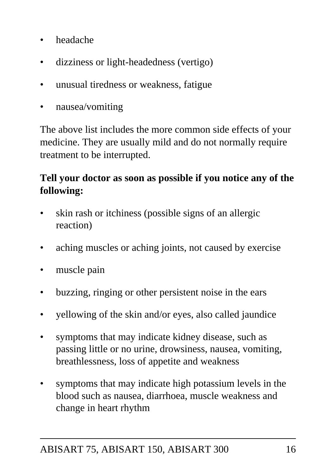- headache
- dizziness or light-headedness (vertigo)
- unusual tiredness or weakness, fatigue
- nausea/vomiting

The above list includes the more common side effects of your medicine. They are usually mild and do not normally require treatment to be interrupted.

### **Tell your doctor as soon as possible if you notice any of the following:**

- skin rash or itchiness (possible signs of an allergic reaction)
- aching muscles or aching joints, not caused by exercise
- muscle pain
- buzzing, ringing or other persistent noise in the ears
- yellowing of the skin and/or eyes, also called jaundice
- symptoms that may indicate kidney disease, such as passing little or no urine, drowsiness, nausea, vomiting, breathlessness, loss of appetite and weakness
- symptoms that may indicate high potassium levels in the blood such as nausea, diarrhoea, muscle weakness and change in heart rhythm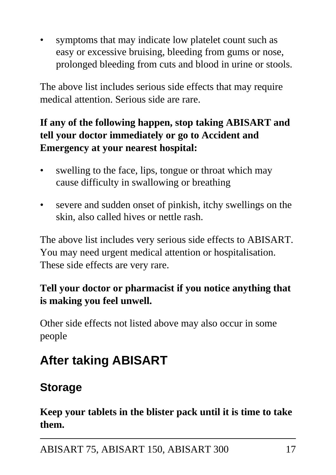symptoms that may indicate low platelet count such as easy or excessive bruising, bleeding from gums or nose, prolonged bleeding from cuts and blood in urine or stools.

The above list includes serious side effects that may require medical attention. Serious side are rare.

### **If any of the following happen, stop taking ABISART and tell your doctor immediately or go to Accident and Emergency at your nearest hospital:**

- swelling to the face, lips, tongue or throat which may cause difficulty in swallowing or breathing
- severe and sudden onset of pinkish, itchy swellings on the skin, also called hives or nettle rash.

The above list includes very serious side effects to ABISART. You may need urgent medical attention or hospitalisation. These side effects are very rare.

### **Tell your doctor or pharmacist if you notice anything that is making you feel unwell.**

Other side effects not listed above may also occur in some people

# **After taking ABISART**

## **Storage**

**Keep your tablets in the blister pack until it is time to take them.**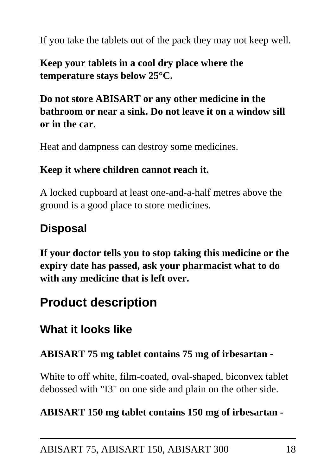If you take the tablets out of the pack they may not keep well.

**Keep your tablets in a cool dry place where the temperature stays below 25°C.**

### **Do not store ABISART or any other medicine in the bathroom or near a sink. Do not leave it on a window sill or in the car.**

Heat and dampness can destroy some medicines.

#### **Keep it where children cannot reach it.**

A locked cupboard at least one-and-a-half metres above the ground is a good place to store medicines.

### **Disposal**

**If your doctor tells you to stop taking this medicine or the expiry date has passed, ask your pharmacist what to do with any medicine that is left over.**

## **Product description**

### **What it looks like**

#### **ABISART 75 mg tablet contains 75 mg of irbesartan -**

White to off white, film-coated, oval-shaped, biconvex tablet debossed with "I3" on one side and plain on the other side.

#### **ABISART 150 mg tablet contains 150 mg of irbesartan -**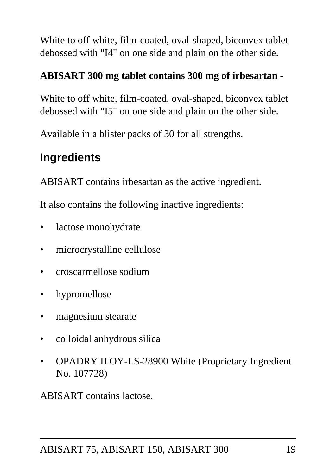White to off white, film-coated, oval-shaped, biconvex tablet debossed with "I4" on one side and plain on the other side.

### **ABISART 300 mg tablet contains 300 mg of irbesartan -**

White to off white, film-coated, oval-shaped, biconvex tablet debossed with "I5" on one side and plain on the other side.

Available in a blister packs of 30 for all strengths.

## **Ingredients**

ABISART contains irbesartan as the active ingredient.

It also contains the following inactive ingredients:

- lactose monohydrate
- microcrystalline cellulose
- croscarmellose sodium
- hypromellose
- magnesium stearate
- colloidal anhydrous silica
- OPADRY II OY-LS-28900 White (Proprietary Ingredient No. 107728)

ABISART contains lactose.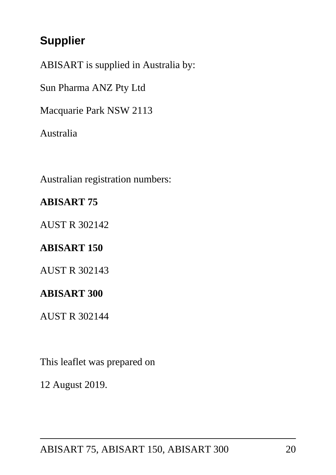## **Supplier**

ABISART is supplied in Australia by:

Sun Pharma ANZ Pty Ltd

Macquarie Park NSW 2113

Australia

Australian registration numbers:

#### **ABISART 75**

AUST R 302142

#### **ABISART 150**

AUST R 302143

#### **ABISART 300**

AUST R 302144

This leaflet was prepared on

12 August 2019.